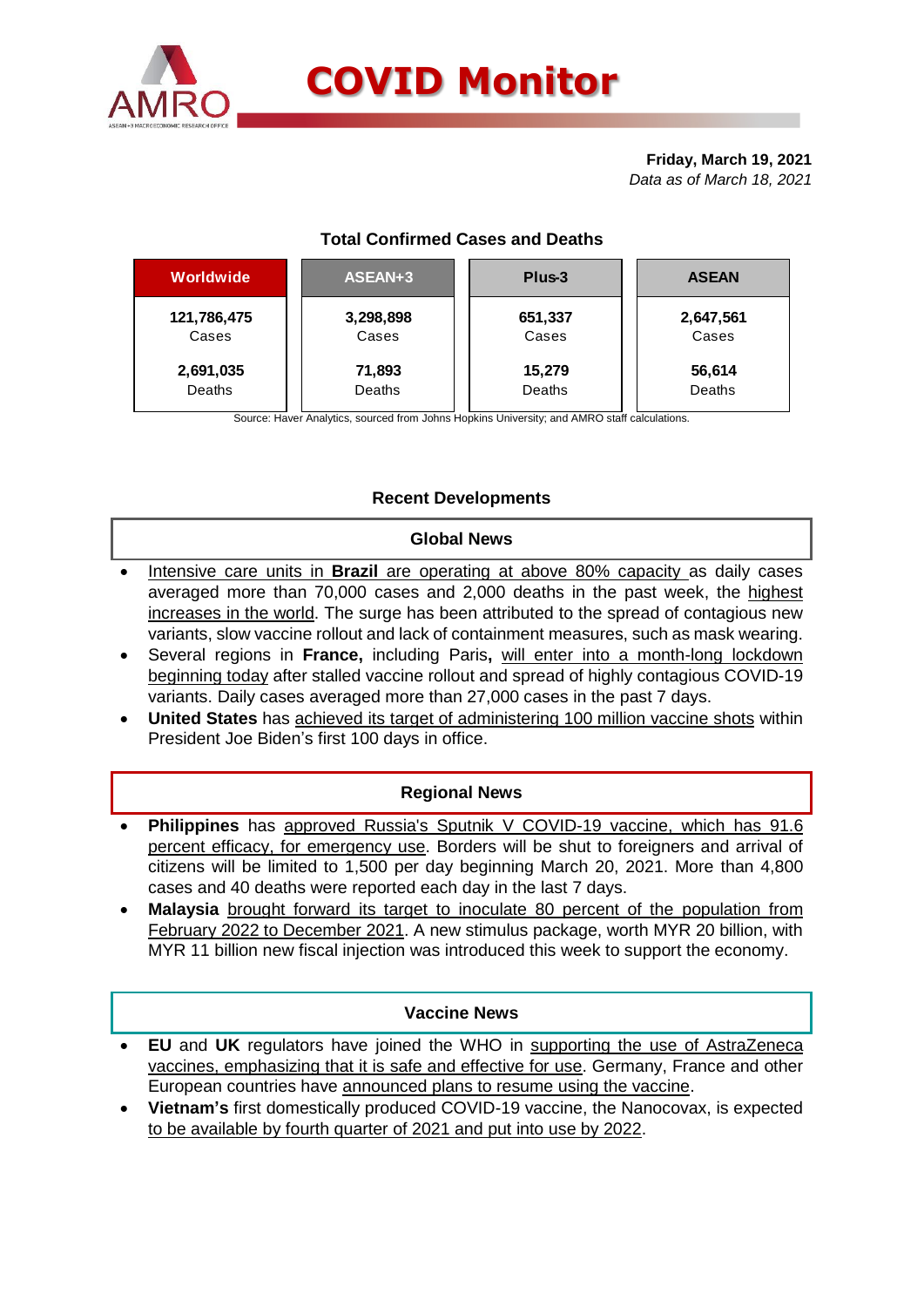

**Friday, March 19, 2021** *Data as of March 18, 2021*

# **Total Confirmed Cases and Deaths**

| <b>Worldwide</b> | ASEAN+3       | Plus-3  | <b>ASEAN</b> |  |  |
|------------------|---------------|---------|--------------|--|--|
| 121,786,475      | 3,298,898     | 651,337 | 2,647,561    |  |  |
| Cases            | Cases         | Cases   | Cases        |  |  |
| 2,691,035        | 71,893        | 15,279  | 56,614       |  |  |
| Deaths           | <b>Deaths</b> | Deaths  | Deaths       |  |  |

Source: Haver Analytics, sourced from Johns Hopkins University; and AMRO staff calculations.

## **Recent Developments**

#### **Global News**

- Intensive care units in **Brazil** are operating at above 80% capacity as daily cases averaged more than 70,000 cases and 2,000 deaths in the past week, the highest increases in the world. The surge has been attributed to the spread of contagious new variants, slow vaccine rollout and lack of containment measures, such as mask wearing.
- Several regions in **France,** including Paris**,** will enter into a month-long lockdown beginning today after stalled vaccine rollout and spread of highly contagious COVID-19 variants. Daily cases averaged more than 27,000 cases in the past 7 days.
- **United States** has achieved its target of administering 100 million vaccine shots within President Joe Biden's first 100 days in office.

#### **Regional News**

- **Philippines** has approved Russia's Sputnik V COVID-19 vaccine, which has 91.6 percent efficacy, for emergency use. Borders will be shut to foreigners and arrival of citizens will be limited to 1,500 per day beginning March 20, 2021. More than 4,800 cases and 40 deaths were reported each day in the last 7 days.
- **Malaysia** brought forward its target to inoculate 80 percent of the population from February 2022 to December 2021. A new stimulus package, worth MYR 20 billion, with MYR 11 billion new fiscal injection was introduced this week to support the economy.

## **Vaccine News**

- **EU** and **UK** regulators have joined the WHO in supporting the use of AstraZeneca vaccines, emphasizing that it is safe and effective for use. Germany, France and other European countries have announced plans to resume using the vaccine.
- **Vietnam's** first domestically produced COVID-19 vaccine, the Nanocovax, is expected to be available by fourth quarter of 2021 and put into use by 2022.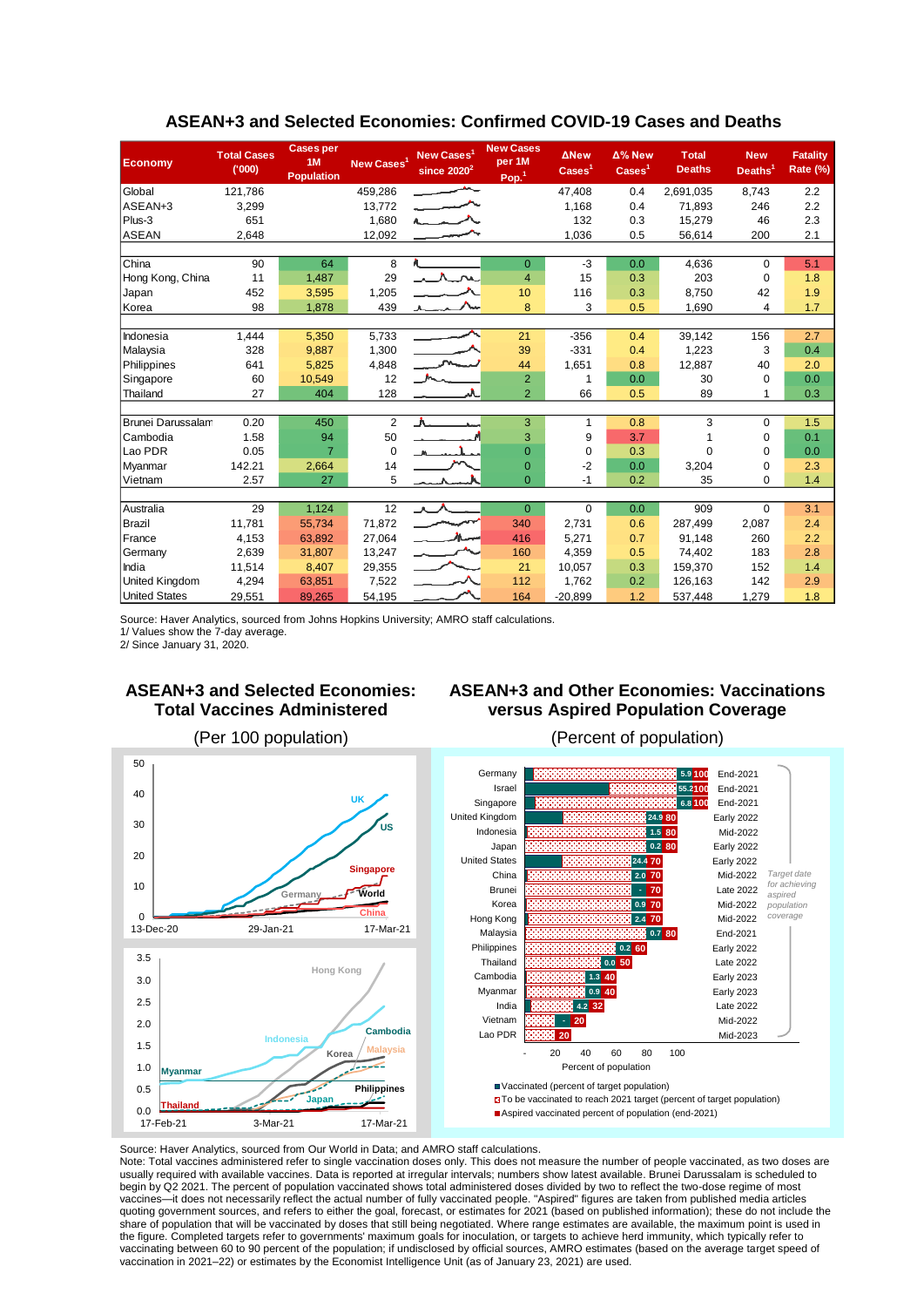| <b>Economy</b>           | <b>Total Cases</b><br>(000) | <b>Cases per</b><br>1M<br><b>Population</b> | New Cases <sup>1</sup> | New Cases <sup>1</sup><br>since $2020^2$ | <b>New Cases</b><br>per 1M<br>Pop. <sup>1</sup> | <b>ANew</b><br>$\text{Case} \text{s}^1$ | Δ% New<br>$\text{Case} \text{s}^1$ | <b>Total</b><br><b>Deaths</b> | <b>New</b><br>Deaths <sup>1</sup> | <b>Fatality</b><br>Rate (%) |
|--------------------------|-----------------------------|---------------------------------------------|------------------------|------------------------------------------|-------------------------------------------------|-----------------------------------------|------------------------------------|-------------------------------|-----------------------------------|-----------------------------|
| Global                   | 121,786                     |                                             | 459,286                | $\overline{\phantom{a}}$                 |                                                 | 47,408                                  | 0.4                                | 2,691,035                     | 8,743                             | 2.2                         |
| ASEAN+3                  | 3,299                       |                                             | 13,772                 | بمسير                                    |                                                 | 1,168                                   | 0.4                                | 71,893                        | 246                               | 2.2                         |
| Plus-3                   | 651                         |                                             | 1,680                  | $\sim$ $\sim$ $\sim$                     |                                                 | 132                                     | 0.3                                | 15,279                        | 46                                | 2.3                         |
| <b>ASEAN</b>             | 2,648                       |                                             | 12,092                 |                                          |                                                 | 1,036                                   | 0.5                                | 56,614                        | 200                               | 2.1                         |
|                          |                             |                                             |                        |                                          |                                                 |                                         |                                    |                               |                                   |                             |
| China                    | 90                          | 64                                          | 8                      |                                          | $\overline{0}$                                  | $-3$                                    | 0.0                                | 4.636                         | $\Omega$                          | 5.1                         |
| Hong Kong, China         | 11                          | 1,487                                       | 29                     | $\lambda$ $\Lambda$ $\sim$               | $\overline{4}$                                  | 15                                      | 0.3                                | 203                           | $\Omega$                          | 1.8                         |
| Japan                    | 452                         | 3,595                                       | 1,205                  |                                          | 10                                              | 116                                     | 0.3                                | 8,750                         | 42                                | 1.9                         |
| Korea                    | 98                          | 1,878                                       | 439                    | $\sim$                                   | 8                                               | 3                                       | 0.5                                | 1,690                         | 4                                 | 1.7                         |
|                          |                             |                                             |                        |                                          |                                                 |                                         |                                    |                               |                                   |                             |
| Indonesia                | 1,444                       | 5,350                                       | 5,733                  |                                          | 21                                              | $-356$                                  | 0.4                                | 39,142                        | 156                               | 2.7                         |
| Malaysia                 | 328                         | 9,887                                       | 1,300                  |                                          | 39                                              | $-331$                                  | 0.4                                | 1,223                         | 3                                 | 0.4                         |
| Philippines              | 641                         | 5,825                                       | 4,848                  |                                          | 44                                              | 1,651                                   | 0.8                                | 12,887                        | 40                                | 2.0                         |
| Singapore                | 60                          | 10,549                                      | 12                     |                                          | $\overline{2}$                                  | 1                                       | 0.0                                | 30                            | $\mathbf 0$                       | 0.0                         |
| Thailand                 | 27                          | 404                                         | 128                    |                                          | $\overline{2}$                                  | 66                                      | 0.5                                | 89                            | 1                                 | 0.3                         |
|                          |                             |                                             |                        |                                          |                                                 |                                         |                                    |                               |                                   |                             |
| <b>Brunei Darussalam</b> | 0.20                        | 450                                         | 2                      | A<br><b>Contract State</b>               | 3                                               | 1                                       | 0.8                                | 3                             | $\Omega$                          | 1.5                         |
| Cambodia                 | 1.58                        | 94                                          | 50                     |                                          | 3                                               | 9                                       | 3.7                                |                               | $\mathbf 0$                       | 0.1                         |
| Lao PDR                  | 0.05                        | $\overline{7}$                              | $\Omega$               |                                          | $\Omega$                                        | $\Omega$                                | 0.3                                | $\Omega$                      | $\Omega$                          | 0.0                         |
| Myanmar                  | 142.21                      | 2,664                                       | 14                     |                                          | $\overline{0}$                                  | $-2$                                    | 0.0                                | 3,204                         | $\mathbf 0$                       | 2.3                         |
| Vietnam                  | 2.57                        | 27                                          | 5                      |                                          | $\Omega$                                        | -1                                      | 0.2                                | 35                            | $\Omega$                          | 1.4                         |
|                          |                             |                                             |                        |                                          |                                                 |                                         |                                    |                               |                                   |                             |
| Australia                | 29                          | 1,124                                       | 12                     |                                          | $\Omega$                                        | $\Omega$                                | 0.0                                | 909                           | $\Omega$                          | 3.1                         |
| Brazil                   | 11,781                      | 55,734                                      | 71,872                 |                                          | 340                                             | 2,731                                   | 0.6                                | 287.499                       | 2,087                             | 2.4                         |
| France                   | 4,153                       | 63,892                                      | 27,064                 | $\overline{a}$                           | 416                                             | 5,271                                   | 0.7                                | 91.148                        | 260                               | 2.2                         |
| Germany                  | 2.639                       | 31,807                                      | 13,247                 |                                          | 160                                             | 4,359                                   | 0.5                                | 74,402                        | 183                               | 2.8                         |
| India                    | 11.514                      | 8,407                                       | 29,355                 |                                          | 21                                              | 10.057                                  | 0.3                                | 159.370                       | 152                               | 1.4                         |
| United Kingdom           | 4,294                       | 63,851                                      | 7,522                  | $\overline{\phantom{a}}$                 | 112                                             | 1,762                                   | 0.2                                | 126,163                       | 142                               | 2.9                         |
| <b>United States</b>     | 29,551                      | 89,265                                      | 54,195                 |                                          | 164                                             | $-20,899$                               | 1.2                                | 537,448                       | 1,279                             | 1.8                         |

#### **ASEAN+3 and Selected Economies: Confirmed COVID-19 Cases and Deaths**

Source: Haver Analytics, sourced from Johns Hopkins University; AMRO staff calculations.

1/ Values show the 7-day average.

2/ Since January 31, 2020.

## **ASEAN+3 and Selected Economies: Total Vaccines Administered**

## **ASEAN+3 and Other Economies: Vaccinations versus Aspired Population Coverage**



#### (Per 100 population) (Percent of population)



Aspired vaccinated percent of population (end-2021)

Source: Haver Analytics, sourced from Our World in Data; and AMRO staff calculations.

Note: Total vaccines administered refer to single vaccination doses only. This does not measure the number of people vaccinated, as two doses are usually required with available vaccines. Data is reported at irregular intervals; numbers show latest available. Brunei Darussalam is scheduled to begin by Q2 2021. The percent of population vaccinated shows total administered doses divided by two to reflect the two-dose regime of most vaccines—it does not necessarily reflect the actual number of fully vaccinated people. "Aspired" figures are taken from published media articles quoting government sources, and refers to either the goal, forecast, or estimates for 2021 (based on published information); these do not include the share of population that will be vaccinated by doses that still being negotiated. Where range estimates are available, the maximum point is used in the figure. Completed targets refer to governments' maximum goals for inoculation, or targets to achieve herd immunity, which typically refer to vaccinating between 60 to 90 percent of the population; if undisclosed by official sources, AMRO estimates (based on the average target speed of vaccination in 2021–22) or estimates by the Economist Intelligence Unit (as of January 23, 2021) are used.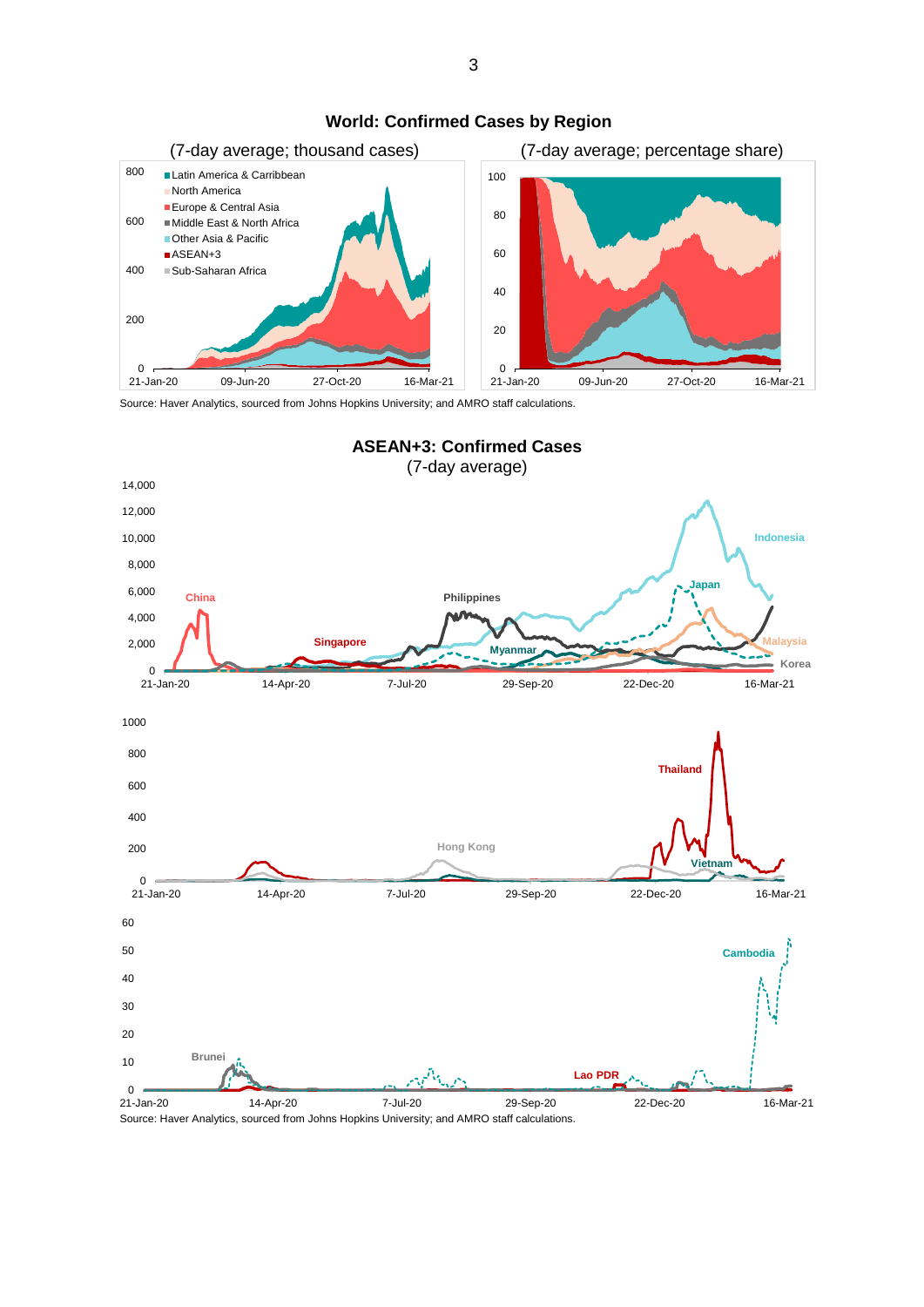

#### **World: Confirmed Cases by Region**

Source: Haver Analytics, sourced from Johns Hopkins University; and AMRO staff calculations.



Source: Haver Analytics, sourced from Johns Hopkins University; and AMRO staff calculations.